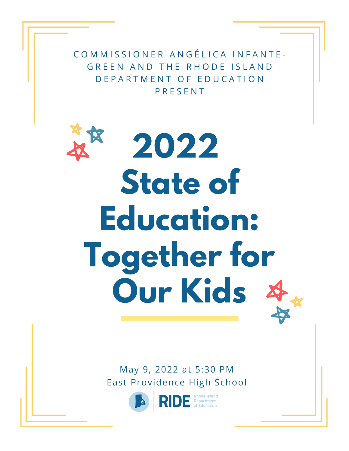COMMISSIONER ANGÉLICA INFANTE-GREEN AND THE RHODE ISLAND D E P A R T M E N T O F E D U C A T I O N **P R E S E N T** 



May 9, 2022 at 5:30 PM East Providence High School

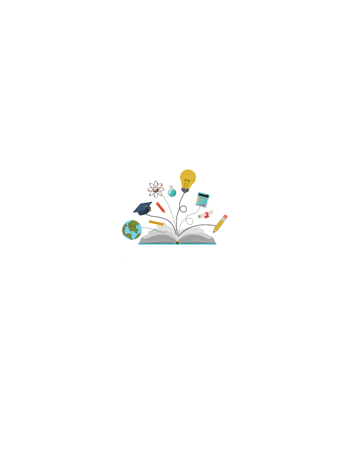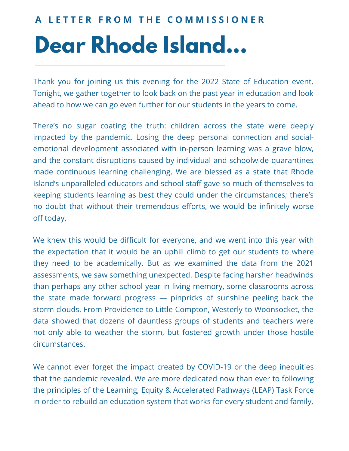### **Dear Rhode Island...** LETTER FROM THE COMMISSIONER

Thank you for joining us this evening for the 2022 State of Education event. Tonight, we gather together to look back on the past year in education and look ahead to how we can go even further for our students in the years to come.

There's no sugar coating the truth: children across the state were deeply impacted by the pandemic. Losing the deep personal connection and socialemotional development associated with in-person learning was a grave blow, and the constant disruptions caused by individual and schoolwide quarantines made continuous learning challenging. We are blessed as a state that Rhode Island's unparalleled educators and school staff gave so much of themselves to keeping students learning as best they could under the circumstances; there's no doubt that without their tremendous efforts, we would be infinitely worse off today.

We knew this would be difficult for everyone, and we went into this year with the expectation that it would be an uphill climb to get our students to where they need to be academically. But as we examined the data from the 2021 assessments, we saw something unexpected. Despite facing harsher headwinds than perhaps any other school year in living memory, some classrooms across the state made forward progress — pinpricks of sunshine peeling back the storm clouds. From Providence to Little Compton, Westerly to Woonsocket, the data showed that dozens of dauntless groups of students and teachers were not only able to weather the storm, but fostered growth under those hostile circumstances.

We cannot ever forget the impact created by COVID-19 or the deep inequities that the pandemic revealed. We are more dedicated now than ever to following the principles of the Learning, Equity & Accelerated Pathways (LEAP) Task Force in order to rebuild an education system that works for every student and family.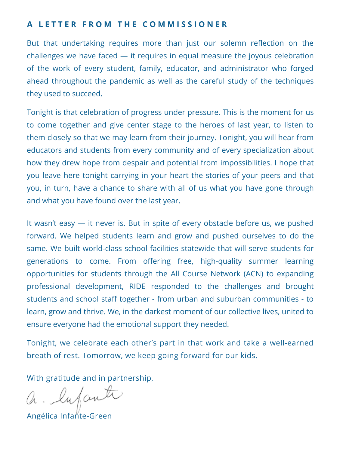### A LETTER FROM THE COMMISSIONER

But that undertaking requires more than just our solemn reflection on the challenges we have faced — it requires in equal measure the joyous celebration of the work of every student, family, educator, and administrator who forged ahead throughout the pandemic as well as the careful study of the techniques they used to succeed.

Tonight is that celebration of progress under pressure. This is the moment for us to come together and give center stage to the heroes of last year, to listen to them closely so that we may learn from their journey. Tonight, you will hear from educators and students from every community and of every specialization about how they drew hope from despair and potential from impossibilities. I hope that you leave here tonight carrying in your heart the stories of your peers and that you, in turn, have a chance to share with all of us what you have gone through and what you have found over the last year.

It wasn't easy — it never is. But in spite of every obstacle before us, we pushed forward. We helped students learn and grow and pushed ourselves to do the same. We built world-class school facilities statewide that will serve students for generations to come. From offering free, high-quality summer learning opportunities for students through the All Course Network (ACN) to expanding professional development, RIDE responded to the challenges and brought students and school staff together - from urban and suburban communities - to learn, grow and thrive. We, in the darkest moment of our collective lives, united to ensure everyone had the emotional support they needed.

Tonight, we celebrate each other's part in that work and take a well-earned breath of rest. Tomorrow, we keep going forward for our kids.

With gratitude and in partnership,

a. lufante

Angélica Infante-Green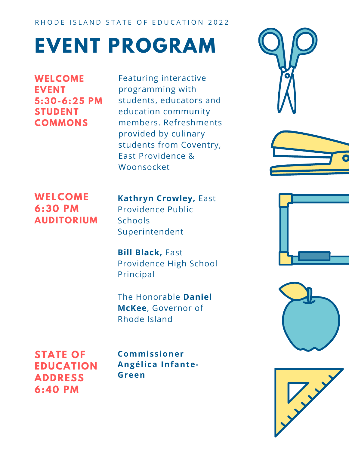#### RHODE ISLAND STATE OF EDUCATION 2022

# **EVENT PROGRAM**

**WELCOME EVENT 5:30-6:25 PM STUDENT COMMONS**

Featuring interactive programming with students, educators and education community members. Refreshments provided by culinary students from Coventry, East Providence & Woonsocket

**WELCOME 6:30 PM AUDITORIUM**

**Kathryn Crowley,** East Providence Public Schools Superintendent

**Bill Black,** East Providence High School Principal

The Honorable **Daniel McKee**, Governor of Rhode Island

**STATE OF EDUCATION ADDRESS 6:40 PM**

**Commissioner Angélica Infante-Green**









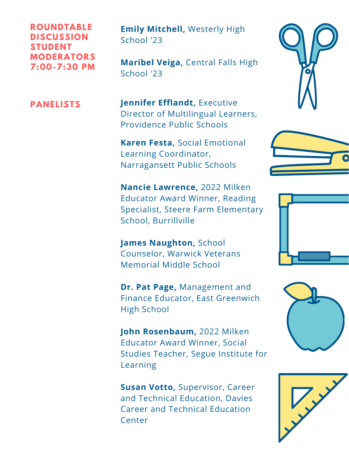**ROUNDTABLE DISCUSSION STUDENT MODERATORS 7:00-7:30 PM**

### **PANELISTS**

**Emily Mitchell,** Westerly High School '23

**Maribel Veiga,** Central Falls High School '23

**Jennifer Efflandt,** Executive Director of Multilingual Learners, Providence Public Schools

**Karen Festa,** Social Emotional Learning Coordinator, Narragansett Public Schools

**Nancie Lawrence,** 2022 Milken Educator Award Winner, Reading Specialist, Steere Farm Elementary School, Burrillville

**James Naughton,** School Counselor, Warwick Veterans Memorial Middle School

**Dr. Pat Page,** Management and Finance Educator, East Greenwich High School

**John Rosenbaum,** 2022 Milken Educator Award Winner, Social Studies Teacher, Segue Institute for Learning

**Susan Votto,** Supervisor, Career and Technical Education, Davies Career and Technical Education Center









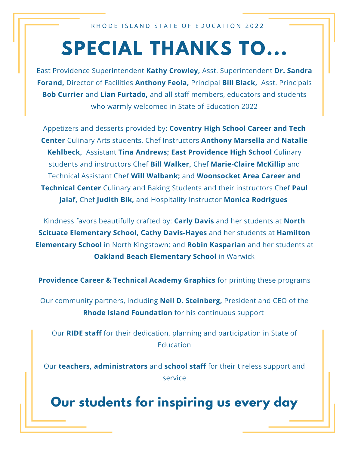# **SPECIAL THANKS TO...**

East Providence Superintendent **Kathy Crowley,** Asst. Superintendent **Dr. Sandra Forand,** Director of Facilities **Anthony Feola,** Principal **Bill Black,** Asst. Principals **Bob Currier** and **Lian Furtado,** and all staff members, educators and students who warmly welcomed in State of Education 2022

Appetizers and desserts provided by: **Coventry High School Career and Tech Center** Culinary Arts students, Chef Instructors **Anthony Marsella** and **Natalie Kehlbeck,** Assistant **Tina Andrews; East Providence High School** Culinary students and instructors Chef **Bill Walker,** Chef **Marie-Claire McKillip** and Technical Assistant Chef **Will Walbank;** and **Woonsocket Area Career and Technical Center** Culinary and Baking Students and their instructors Chef **Paul Jalaf,** Chef **Judith Bik,** and Hospitality Instructor **Monica Rodrigues**

Kindness favors beautifully crafted by: **Carly Davis** and her students at **North Scituate Elementary School, Cathy Davis-Hayes** and her students at **Hamilton Elementary School** in North Kingstown; and **Robin Kasparian** and her students at **Oakland Beach Elementary School** in Warwick

**Providence Career & Technical Academy Graphics** for printing these programs

Our community partners, including **Neil D. Steinberg,** President and CEO of the **Rhode Island Foundation** for his continuous support

Our **RIDE staff** for their dedication, planning and participation in State of **Education** 

Our **teachers, administrators** and **school staff** for their tireless support and service

**Our students for inspiring us every day**